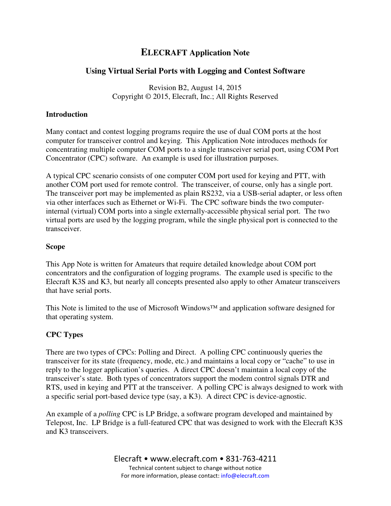# **ELECRAFT Application Note**

## **Using Virtual Serial Ports with Logging and Contest Software**

Revision B2, August 14, 2015 Copyright © 2015, Elecraft, Inc.; All Rights Reserved

## **Introduction**

Many contact and contest logging programs require the use of dual COM ports at the host computer for transceiver control and keying. This Application Note introduces methods for concentrating multiple computer COM ports to a single transceiver serial port, using COM Port Concentrator (CPC) software. An example is used for illustration purposes.

A typical CPC scenario consists of one computer COM port used for keying and PTT, with another COM port used for remote control. The transceiver, of course, only has a single port. The transceiver port may be implemented as plain RS232, via a USB-serial adapter, or less often via other interfaces such as Ethernet or Wi-Fi. The CPC software binds the two computerinternal (virtual) COM ports into a single externally-accessible physical serial port. The two virtual ports are used by the logging program, while the single physical port is connected to the transceiver.

## **Scope**

This App Note is written for Amateurs that require detailed knowledge about COM port concentrators and the configuration of logging programs. The example used is specific to the Elecraft K3S and K3, but nearly all concepts presented also apply to other Amateur transceivers that have serial ports.

This Note is limited to the use of Microsoft Windows™ and application software designed for that operating system.

## **CPC Types**

There are two types of CPCs: Polling and Direct. A polling CPC continuously queries the transceiver for its state (frequency, mode, etc.) and maintains a local copy or "cache" to use in reply to the logger application's queries. A direct CPC doesn't maintain a local copy of the transceiver's state. Both types of concentrators support the modem control signals DTR and RTS, used in keying and PTT at the transceiver. A polling CPC is always designed to work with a specific serial port-based device type (say, a K3). A direct CPC is device-agnostic.

An example of a *polling* CPC is LP Bridge, a software program developed and maintained by Telepost, Inc. LP Bridge is a full-featured CPC that was designed to work with the Elecraft K3S and K3 transceivers.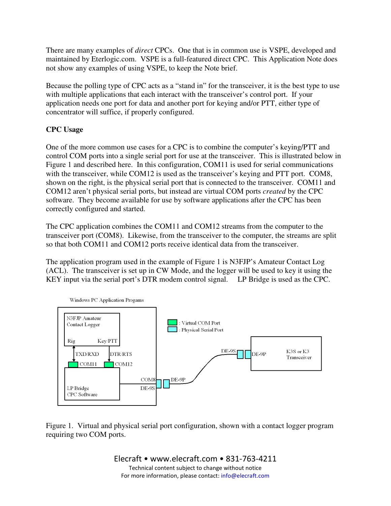There are many examples of *direct* CPCs. One that is in common use is VSPE, developed and maintained by Eterlogic.com. VSPE is a full-featured direct CPC. This Application Note does not show any examples of using VSPE, to keep the Note brief.

Because the polling type of CPC acts as a "stand in" for the transceiver, it is the best type to use with multiple applications that each interact with the transceiver's control port. If your application needs one port for data and another port for keying and/or PTT, either type of concentrator will suffice, if properly configured.

## **CPC Usage**

One of the more common use cases for a CPC is to combine the computer's keying/PTT and control COM ports into a single serial port for use at the transceiver. This is illustrated below in Figure 1 and described here. In this configuration, COM11 is used for serial communications with the transceiver, while COM12 is used as the transceiver's keying and PTT port. COM8, shown on the right, is the physical serial port that is connected to the transceiver. COM11 and COM12 aren't physical serial ports, but instead are virtual COM ports *created* by the CPC software. They become available for use by software applications after the CPC has been correctly configured and started.

The CPC application combines the COM11 and COM12 streams from the computer to the transceiver port (COM8). Likewise, from the transceiver to the computer, the streams are split so that both COM11 and COM12 ports receive identical data from the transceiver.

The application program used in the example of Figure 1 is N3FJP's Amateur Contact Log (ACL). The transceiver is set up in CW Mode, and the logger will be used to key it using the KEY input via the serial port's DTR modem control signal. LP Bridge is used as the CPC.



Figure 1. Virtual and physical serial port configuration, shown with a contact logger program requiring two COM ports.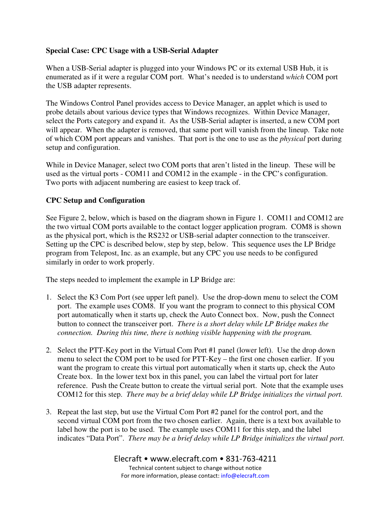## **Special Case: CPC Usage with a USB-Serial Adapter**

When a USB-Serial adapter is plugged into your Windows PC or its external USB Hub, it is enumerated as if it were a regular COM port. What's needed is to understand *which* COM port the USB adapter represents.

The Windows Control Panel provides access to Device Manager, an applet which is used to probe details about various device types that Windows recognizes. Within Device Manager, select the Ports category and expand it. As the USB-Serial adapter is inserted, a new COM port will appear. When the adapter is removed, that same port will vanish from the lineup. Take note of which COM port appears and vanishes. That port is the one to use as the *physical* port during setup and configuration.

While in Device Manager, select two COM ports that aren't listed in the lineup. These will be used as the virtual ports - COM11 and COM12 in the example - in the CPC's configuration. Two ports with adjacent numbering are easiest to keep track of.

### **CPC Setup and Configuration**

See Figure 2, below, which is based on the diagram shown in Figure 1. COM11 and COM12 are the two virtual COM ports available to the contact logger application program. COM8 is shown as the physical port, which is the RS232 or USB-serial adapter connection to the transceiver. Setting up the CPC is described below, step by step, below. This sequence uses the LP Bridge program from Telepost, Inc. as an example, but any CPC you use needs to be configured similarly in order to work properly.

The steps needed to implement the example in LP Bridge are:

- 1. Select the K3 Com Port (see upper left panel). Use the drop-down menu to select the COM port. The example uses COM8. If you want the program to connect to this physical COM port automatically when it starts up, check the Auto Connect box. Now, push the Connect button to connect the transceiver port. *There is a short delay while LP Bridge makes the connection. During this time, there is nothing visible happening with the program.*
- 2. Select the PTT-Key port in the Virtual Com Port #1 panel (lower left). Use the drop down menu to select the COM port to be used for PTT-Key – the first one chosen earlier. If you want the program to create this virtual port automatically when it starts up, check the Auto Create box. In the lower text box in this panel, you can label the virtual port for later reference. Push the Create button to create the virtual serial port. Note that the example uses COM12 for this step. *There may be a brief delay while LP Bridge initializes the virtual port.*
- 3. Repeat the last step, but use the Virtual Com Port #2 panel for the control port, and the second virtual COM port from the two chosen earlier. Again, there is a text box available to label how the port is to be used. The example uses COM11 for this step, and the label indicates "Data Port". *There may be a brief delay while LP Bridge initializes the virtual port.*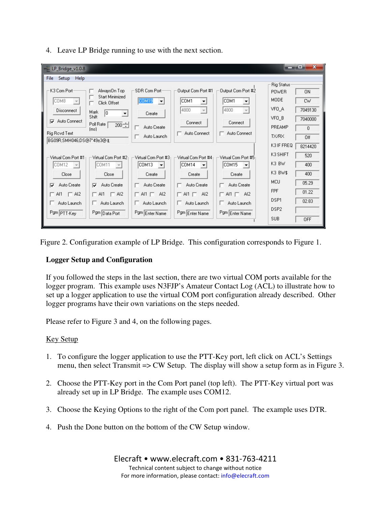| $\sqrt{2}$ LP_Bridge_v1.0.8                                                                                                                                                                                                                                         |                                                                                                                                                                   |                                                                                                                                                       |                                                                                                                                             | <b>BLACK</b>                                                                                | $\mathbf{x}$<br>æ                                   |
|---------------------------------------------------------------------------------------------------------------------------------------------------------------------------------------------------------------------------------------------------------------------|-------------------------------------------------------------------------------------------------------------------------------------------------------------------|-------------------------------------------------------------------------------------------------------------------------------------------------------|---------------------------------------------------------------------------------------------------------------------------------------------|---------------------------------------------------------------------------------------------|-----------------------------------------------------|
| File<br>Setup<br>Help<br>K3 Com Port-<br>AlwaysOn Top<br><b>Start Minimized</b><br>COM8<br>Click Offset                                                                                                                                                             | SDR Com Port<br>COM19<br>$\vert \mathbf{v} \vert$                                                                                                                 | Output Com Port #1<br>COM1<br>$\blacktriangledown$                                                                                                    | Output Com Port #2<br>COM1<br>▼                                                                                                             | <b>Rig Status</b><br><b>POWER</b><br><b>MODE</b>                                            | <b>ON</b><br><b>CW</b>                              |
| <b>Disconnect</b><br>Mark<br>10<br>$\blacktriangledown$<br>Shift<br>Auto Connect<br>⊽<br>Poll Rate<br>$200 -$<br>[ms]<br>Rig Royd Text<br>BG09R;SMH046;DS@7*49±3@1;                                                                                                 | Create<br>Auto Create<br>Auto Launch                                                                                                                              | 4800<br>Connect<br>Auto Connect                                                                                                                       | 4800<br>$\overline{\nabla}$<br>Connect<br>Auto Connect                                                                                      | VFO A<br>VFO B<br>PREAMP<br>TX/RX<br>K3 IF FREQ                                             | 7049130<br>7040000<br>$\theta$<br>Off<br>8214420    |
| Virtual Com Port #11<br>Virtual Com Port #2<br>COM12<br>COM11<br>$\overline{\phantom{m}}$<br>Close<br>Close<br>Auto Create<br>Auto Create<br>⊽<br>☞<br>Al1 $\Box$ Al2<br>$\Gamma$ Al2<br>$\Gamma$ Al1<br>Auto Launch<br>Auto Launch<br>Pgm PTT-Key<br>Pgm Data Port | Virtual Com Port #3<br>COM13<br>$\overline{\phantom{a}}$<br>Create<br>Auto Create<br>г.<br>$\Box$ Al1 $\Box$ Al2<br>Auto Launch<br>$\mathbb{R}$<br>Pgm Enter Name | Virtual Com Port #41<br>COM14<br>$\overline{\phantom{a}}$<br>Create<br>Auto Create<br>г.<br>$\Box$ Al1 $\Box$<br>AI2<br>Auto Launch<br>Pgm Enter Name | Virtual Com Port #5<br>COM15<br>$\overline{\phantom{a}}$<br>Create<br>Auto Create<br>$\Box$ Al1 $\Box$ Al2<br>Auto Launch<br>Pgm Enter Name | K3 SHIFT<br>K3 BW<br>K3 BW\$<br>MCU<br><b>FPF</b><br>DSP1<br>DSP <sub>2</sub><br><b>SUB</b> | 520<br>400<br>400<br>05.29<br>01.22<br>02.83<br>OFF |

4. Leave LP Bridge running to use with the next section.

Figure 2. Configuration example of LP Bridge. This configuration corresponds to Figure 1.

## **Logger Setup and Configuration**

If you followed the steps in the last section, there are two virtual COM ports available for the logger program. This example uses N3FJP's Amateur Contact Log (ACL) to illustrate how to set up a logger application to use the virtual COM port configuration already described. Other logger programs have their own variations on the steps needed.

Please refer to Figure 3 and 4, on the following pages.

## Key Setup

- 1. To configure the logger application to use the PTT-Key port, left click on ACL's Settings menu, then select Transmit => CW Setup. The display will show a setup form as in Figure 3.
- 2. Choose the PTT-Key port in the Com Port panel (top left). The PTT-Key virtual port was already set up in LP Bridge. The example uses COM12.
- 3. Choose the Keying Options to the right of the Com port panel. The example uses DTR.
- 4. Push the Done button on the bottom of the CW Setup window.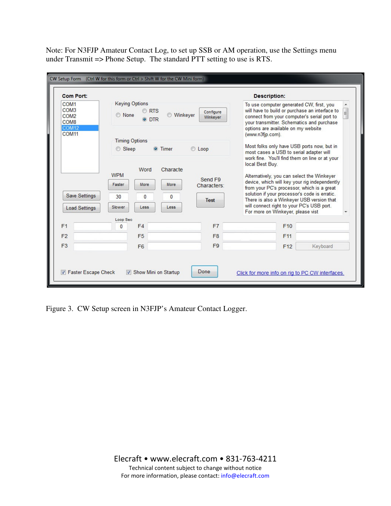Note: For N3FJP Amateur Contact Log, to set up SSB or AM operation, use the Settings menu under Transmit => Phone Setup. The standard PTT setting to use is RTS.

| <b>Com Port:</b>                                                                                  |                                                                                                           |                                      |                                          |                                       | <b>Description:</b>                                                                                                                                                                                                                                                                                                                          |          |  |
|---------------------------------------------------------------------------------------------------|-----------------------------------------------------------------------------------------------------------|--------------------------------------|------------------------------------------|---------------------------------------|----------------------------------------------------------------------------------------------------------------------------------------------------------------------------------------------------------------------------------------------------------------------------------------------------------------------------------------------|----------|--|
| COM <sub>1</sub><br>COM <sub>3</sub><br>COM <sub>2</sub><br>COM <sub>8</sub><br>COM <sub>12</sub> | <b>Keying Options</b><br><b>RTS</b><br>Configure<br><b>O</b> None<br><b>Winkeyer</b><br>Winkever<br>O DTR |                                      |                                          |                                       | To use computer generated CW, first, you<br>will have to build or purchase an interface to<br>connect from your computer's serial port to<br>your transmitter. Schematics and purchase<br>options are available on my website                                                                                                                |          |  |
| COM <sub>11</sub>                                                                                 |                                                                                                           |                                      |                                          |                                       | (www.n3fip.com).                                                                                                                                                                                                                                                                                                                             |          |  |
|                                                                                                   | <b>Timing Options</b><br>Sleep<br><b>O</b> Timer<br>C Loop                                                |                                      |                                          |                                       | Most folks only have USB ports now, but in<br>most cases a USB to serial adapter will<br>work fine. You'll find them on line or at your                                                                                                                                                                                                      |          |  |
| <b>Save Settings</b><br><b>Load Settings</b>                                                      | <b>WPM</b><br>Faster<br>30<br>Slower                                                                      | Word<br>More<br>$\mathbf{0}$<br>Less | Characte<br>More<br>$\mathbf{0}$<br>Less | Send F9<br>Characters:<br><b>Test</b> | local Best Buy.<br>Alternatively, you can select the Winkeyer<br>device, which will key your rig independently<br>from your PC's processor, which is a great<br>solution if your processor's code is erratic.<br>There is also a Winkeyer USB version that<br>will connect right to your PC's USB port.<br>For more on Winkeyer, please vist |          |  |
| F <sub>1</sub>                                                                                    | Loop Sec<br>$\mathbf{0}$                                                                                  | FA                                   |                                          | F7                                    | F <sub>10</sub>                                                                                                                                                                                                                                                                                                                              |          |  |
| F <sub>2</sub>                                                                                    |                                                                                                           | F <sub>5</sub>                       |                                          | F <sub>8</sub>                        | F <sub>11</sub>                                                                                                                                                                                                                                                                                                                              |          |  |
| F <sub>3</sub>                                                                                    |                                                                                                           | F <sub>6</sub>                       |                                          | F <sub>9</sub>                        | F <sub>12</sub>                                                                                                                                                                                                                                                                                                                              | Keyboard |  |
|                                                                                                   |                                                                                                           |                                      |                                          |                                       |                                                                                                                                                                                                                                                                                                                                              |          |  |

Figure 3. CW Setup screen in N3FJP's Amateur Contact Logger.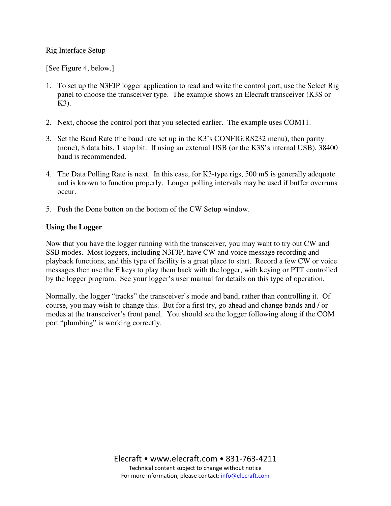#### Rig Interface Setup

[See Figure 4, below.]

- 1. To set up the N3FJP logger application to read and write the control port, use the Select Rig panel to choose the transceiver type. The example shows an Elecraft transceiver (K3S or K3).
- 2. Next, choose the control port that you selected earlier. The example uses COM11.
- 3. Set the Baud Rate (the baud rate set up in the K3's CONFIG:RS232 menu), then parity (none), 8 data bits, 1 stop bit. If using an external USB (or the K3S's internal USB), 38400 baud is recommended.
- 4. The Data Polling Rate is next. In this case, for K3-type rigs, 500 mS is generally adequate and is known to function properly. Longer polling intervals may be used if buffer overruns occur.
- 5. Push the Done button on the bottom of the CW Setup window.

### **Using the Logger**

Now that you have the logger running with the transceiver, you may want to try out CW and SSB modes. Most loggers, including N3FJP, have CW and voice message recording and playback functions, and this type of facility is a great place to start. Record a few CW or voice messages then use the F keys to play them back with the logger, with keying or PTT controlled by the logger program. See your logger's user manual for details on this type of operation.

Normally, the logger "tracks" the transceiver's mode and band, rather than controlling it. Of course, you may wish to change this. But for a first try, go ahead and change bands and / or modes at the transceiver's front panel. You should see the logger following along if the COM port "plumbing" is working correctly.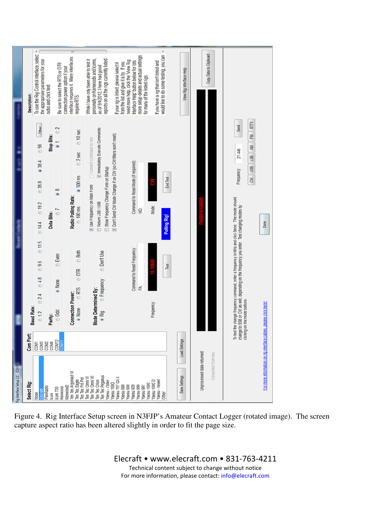

Figure 4. Rig Interface Setup screen in N3FJP's Amateur Contact Logger (rotated image). The screen capture aspect ratio has been altered slightly in order to fit the page size.